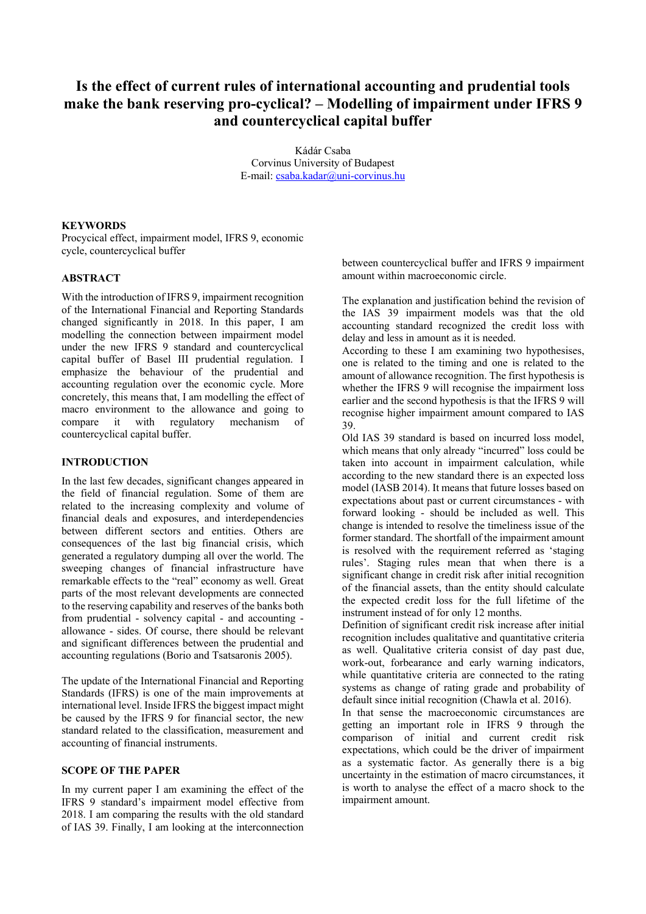# **Is the effect of current rules of international accounting and prudential tools make the bank reserving pro-cyclical? – Modelling of impairment under IFRS 9 and countercyclical capital buffer**

Kádár Csaba Corvinus University of Budapest E-mail: csaba.kadar@uni-corvinus.hu

# **KEYWORDS**

Procycical effect, impairment model, IFRS 9, economic cycle, countercyclical buffer

# **ABSTRACT**

With the introduction of IFRS 9, impairment recognition of the International Financial and Reporting Standards changed significantly in 2018. In this paper, I am modelling the connection between impairment model under the new IFRS 9 standard and countercyclical capital buffer of Basel III prudential regulation. I emphasize the behaviour of the prudential and accounting regulation over the economic cycle. More concretely, this means that, I am modelling the effect of macro environment to the allowance and going to compare it with regulatory mechanism of countercyclical capital buffer.

# **INTRODUCTION**

In the last few decades, significant changes appeared in the field of financial regulation. Some of them are related to the increasing complexity and volume of financial deals and exposures, and interdependencies between different sectors and entities. Others are consequences of the last big financial crisis, which generated a regulatory dumping all over the world. The sweeping changes of financial infrastructure have remarkable effects to the "real" economy as well. Great parts of the most relevant developments are connected to the reserving capability and reserves of the banks both from prudential - solvency capital - and accounting allowance - sides. Of course, there should be relevant and significant differences between the prudential and accounting regulations (Borio and Tsatsaronis 2005).

The update of the International Financial and Reporting Standards (IFRS) is one of the main improvements at international level. Inside IFRS the biggest impact might be caused by the IFRS 9 for financial sector, the new standard related to the classification, measurement and accounting of financial instruments.

## **SCOPE OF THE PAPER**

In my current paper I am examining the effect of the IFRS 9 standard's impairment model effective from 2018. I am comparing the results with the old standard of IAS 39. Finally, I am looking at the interconnection

between countercyclical buffer and IFRS 9 impairment amount within macroeconomic circle.

The explanation and justification behind the revision of the IAS 39 impairment models was that the old accounting standard recognized the credit loss with delay and less in amount as it is needed.

According to these I am examining two hypothesises, one is related to the timing and one is related to the amount of allowance recognition. The first hypothesis is whether the IFRS 9 will recognise the impairment loss earlier and the second hypothesis is that the IFRS 9 will recognise higher impairment amount compared to IAS 39.

Old IAS 39 standard is based on incurred loss model, which means that only already "incurred" loss could be taken into account in impairment calculation, while according to the new standard there is an expected loss model (IASB 2014). It means that future losses based on expectations about past or current circumstances - with forward looking - should be included as well. This change is intended to resolve the timeliness issue of the former standard. The shortfall of the impairment amount is resolved with the requirement referred as 'staging rules'. Staging rules mean that when there is a significant change in credit risk after initial recognition of the financial assets, than the entity should calculate the expected credit loss for the full lifetime of the instrument instead of for only 12 months.

Definition of significant credit risk increase after initial recognition includes qualitative and quantitative criteria as well. Qualitative criteria consist of day past due, work-out, forbearance and early warning indicators, while quantitative criteria are connected to the rating systems as change of rating grade and probability of default since initial recognition (Chawla et al. 2016).

In that sense the macroeconomic circumstances are getting an important role in IFRS 9 through the comparison of initial and current credit risk expectations, which could be the driver of impairment as a systematic factor. As generally there is a big uncertainty in the estimation of macro circumstances, it is worth to analyse the effect of a macro shock to the impairment amount.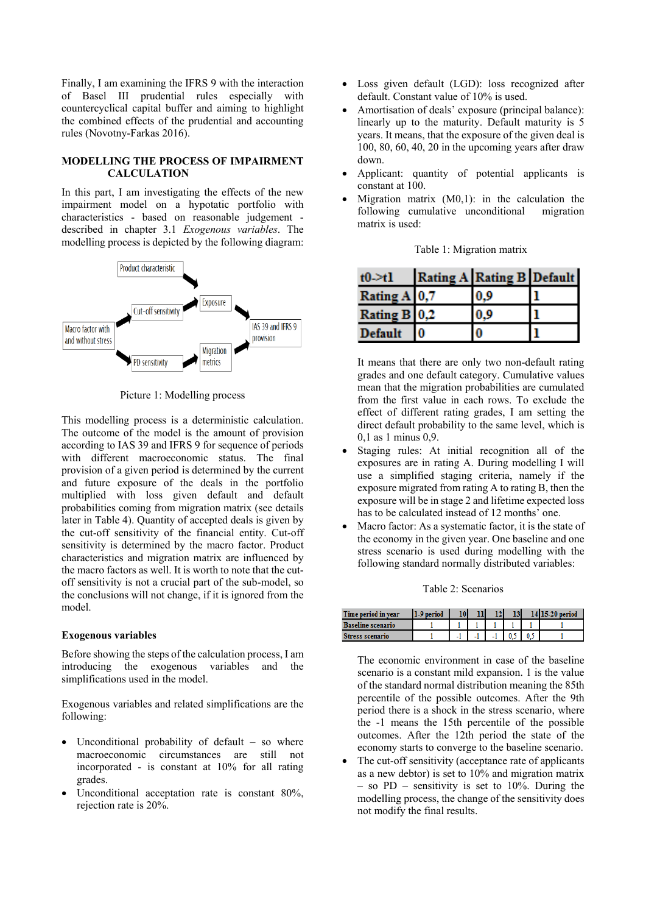Finally, I am examining the IFRS 9 with the interaction of Basel III prudential rules especially with countercyclical capital buffer and aiming to highlight the combined effects of the prudential and accounting rules (Novotny-Farkas 2016).

# **MODELLING THE PROCESS OF IMPAIRMENT CALCULATION**

In this part, I am investigating the effects of the new impairment model on a hypotatic portfolio with characteristics - based on reasonable judgement described in chapter 3.1 *Exogenous variables*. The modelling process is depicted by the following diagram:



Picture 1: Modelling process

This modelling process is a deterministic calculation. The outcome of the model is the amount of provision according to IAS 39 and IFRS 9 for sequence of periods with different macroeconomic status. The final provision of a given period is determined by the current and future exposure of the deals in the portfolio multiplied with loss given default and default probabilities coming from migration matrix (see details later in Table 4). Quantity of accepted deals is given by the cut-off sensitivity of the financial entity. Cut-off sensitivity is determined by the macro factor. Product characteristics and migration matrix are influenced by the macro factors as well. It is worth to note that the cutoff sensitivity is not a crucial part of the sub-model, so the conclusions will not change, if it is ignored from the model.

### **Exogenous variables**

Before showing the steps of the calculation process, I am introducing the exogenous variables and the simplifications used in the model.

Exogenous variables and related simplifications are the following:

- Unconditional probability of default so where macroeconomic circumstances are still not incorporated - is constant at 10% for all rating grades.
- Unconditional acceptation rate is constant 80%, rejection rate is 20%.
- Loss given default (LGD): loss recognized after default. Constant value of 10% is used.
- Amortisation of deals' exposure (principal balance): linearly up to the maturity. Default maturity is 5 years. It means, that the exposure of the given deal is 100, 80, 60, 40, 20 in the upcoming years after draw down.
- Applicant: quantity of potential applicants is constant at 100.
- Migration matrix (M0,1): in the calculation the following cumulative unconditional migration matrix is used:

| $t0 \rightarrow t1$ | Rating A Rating B Default |  |
|---------------------|---------------------------|--|
| Rating A 0.7        | 0.9                       |  |
| Rating B 0.2        | ١٥                        |  |
| <b>Default</b>      |                           |  |

Table 1: Migration matrix

It means that there are only two non-default rating grades and one default category. Cumulative values mean that the migration probabilities are cumulated from the first value in each rows. To exclude the effect of different rating grades, I am setting the direct default probability to the same level, which is 0,1 as 1 minus 0,9.

- Staging rules: At initial recognition all of the exposures are in rating A. During modelling I will use a simplified staging criteria, namely if the exposure migrated from rating A to rating B, then the exposure will be in stage 2 and lifetime expected loss has to be calculated instead of 12 months' one.
- Macro factor: As a systematic factor, it is the state of the economy in the given year. One baseline and one stress scenario is used during modelling with the following standard normally distributed variables:

#### Table 2: Scenarios

| ne period in year        | 10l | ш                        |                          | 13 |  |
|--------------------------|-----|--------------------------|--------------------------|----|--|
| <b>Baseline scenario</b> |     |                          |                          |    |  |
| ress scenario            | -   | $\overline{\phantom{a}}$ | $\overline{\phantom{a}}$ |    |  |

The economic environment in case of the baseline scenario is a constant mild expansion. 1 is the value of the standard normal distribution meaning the 85th percentile of the possible outcomes. After the 9th period there is a shock in the stress scenario, where the -1 means the 15th percentile of the possible outcomes. After the 12th period the state of the economy starts to converge to the baseline scenario.

 The cut-off sensitivity (acceptance rate of applicants as a new debtor) is set to 10% and migration matrix – so PD – sensitivity is set to 10%. During the modelling process, the change of the sensitivity does not modify the final results.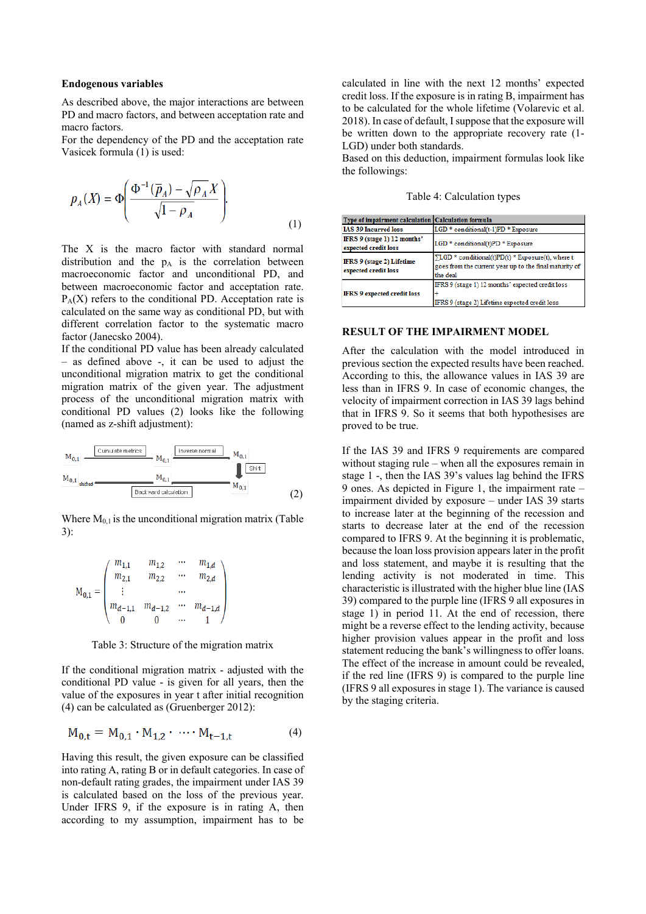#### **Endogenous variables**

As described above, the major interactions are between PD and macro factors, and between acceptation rate and macro factors.

For the dependency of the PD and the acceptation rate Vasicek formula (1) is used:

$$
p_A(X) = \Phi\left(\frac{\Phi^{-1}(\overline{p}_A) - \sqrt{\rho_A}X}{\sqrt{1 - \rho_A}}\right).
$$
 (1)

The X is the macro factor with standard normal distribution and the  $p_A$  is the correlation between macroeconomic factor and unconditional PD, and between macroeconomic factor and acceptation rate.  $P_A(X)$  refers to the conditional PD. Acceptation rate is calculated on the same way as conditional PD, but with different correlation factor to the systematic macro factor (Janecsko 2004).

If the conditional PD value has been already calculated – as defined above -, it can be used to adjust the unconditional migration matrix to get the conditional migration matrix of the given year. The adjustment process of the unconditional migration matrix with conditional PD values (2) looks like the following (named as z-shift adjustment):



Where  $M<sub>0.1</sub>$  is the unconditional migration matrix (Table 3):

$$
\mathbf{M}_{0,1} = \begin{pmatrix} m_{1,1} & m_{1,2} & \cdots & m_{1,d} \\ m_{2,1} & m_{2,2} & \cdots & m_{2,d} \\ \vdots & & \cdots & \\ m_{d-1,1} & m_{d-1,2} & \cdots & m_{d-1,d} \\ 0 & 0 & \cdots & 1 \end{pmatrix}
$$

Table 3: Structure of the migration matrix

If the conditional migration matrix - adjusted with the conditional PD value - is given for all years, then the value of the exposures in year t after initial recognition (4) can be calculated as (Gruenberger 2012):

$$
M_{0,t} = M_{0,1} \cdot M_{1,2} \cdot \cdots \cdot M_{t-1,t}
$$
 (4)

Having this result, the given exposure can be classified into rating A, rating B or in default categories. In case of non-default rating grades, the impairment under IAS 39 is calculated based on the loss of the previous year. Under IFRS 9, if the exposure is in rating A, then according to my assumption, impairment has to be

calculated in line with the next 12 months' expected credit loss. If the exposure is in rating B, impairment has to be calculated for the whole lifetime (Volarevic et al. 2018). In case of default, I suppose that the exposure will be written down to the appropriate recovery rate (1- LGD) under both standards.

Based on this deduction, impairment formulas look like the followings:

Table 4: Calculation types

| Type of impairment calculation Calculation formula  |                                                                                                                                 |
|-----------------------------------------------------|---------------------------------------------------------------------------------------------------------------------------------|
| IAS 39 Incurred loss                                | LGD * conditional(t-1)PD * Exposure                                                                                             |
| IFRS 9 (stage 1) 12 months'<br>expected credit loss | LGD * conditional(t)PD * Exposure                                                                                               |
| IFRS 9 (stage 2) Lifetime<br>expected credit loss   | $\Sigma$ LGD * conditional(t)PD(t) * Exposure(t), where t<br>goes from the current year up to the final maturity of<br>the deal |
| <b>IFRS 9 expected credit loss</b>                  | IFRS 9 (stage 1) 12 months' expected credit loss<br>IFRS 9 (stage 2) Lifetime expected credit loss                              |

## **RESULT OF THE IMPAIRMENT MODEL**

After the calculation with the model introduced in previous section the expected results have been reached. According to this, the allowance values in IAS 39 are less than in IFRS 9. In case of economic changes, the velocity of impairment correction in IAS 39 lags behind that in IFRS 9. So it seems that both hypothesises are proved to be true.

If the IAS 39 and IFRS 9 requirements are compared without staging rule – when all the exposures remain in stage 1 -, then the IAS 39's values lag behind the IFRS 9 ones. As depicted in Figure 1, the impairment rate – impairment divided by exposure – under IAS 39 starts to increase later at the beginning of the recession and starts to decrease later at the end of the recession compared to IFRS 9. At the beginning it is problematic, because the loan loss provision appears later in the profit and loss statement, and maybe it is resulting that the lending activity is not moderated in time. This characteristic is illustrated with the higher blue line (IAS 39) compared to the purple line (IFRS 9 all exposures in stage 1) in period 11. At the end of recession, there might be a reverse effect to the lending activity, because higher provision values appear in the profit and loss statement reducing the bank's willingness to offer loans. The effect of the increase in amount could be revealed, if the red line (IFRS 9) is compared to the purple line (IFRS 9 all exposures in stage 1). The variance is caused by the staging criteria.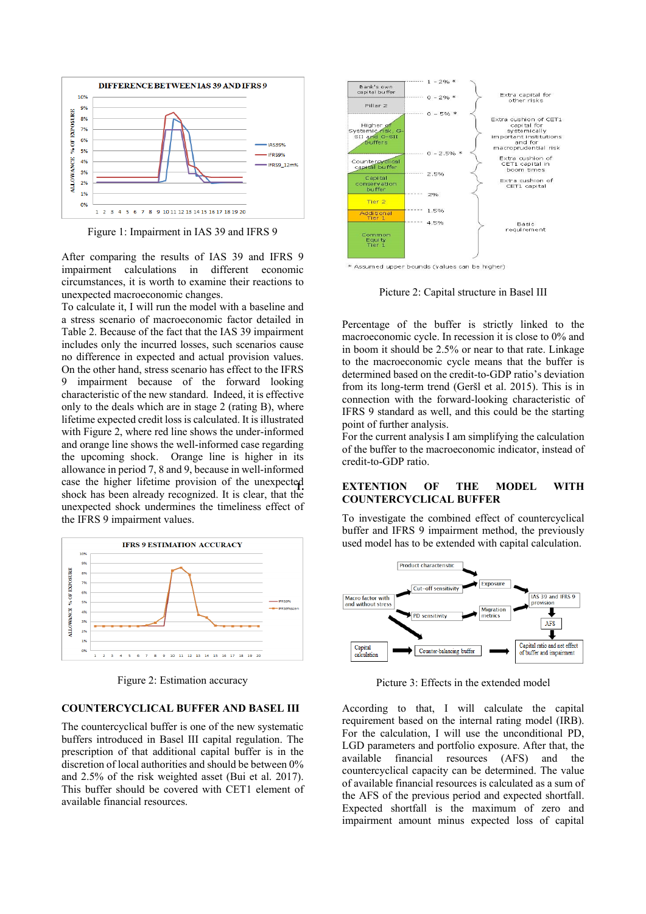

Figure 1: Impairment in IAS 39 and IFRS 9

After comparing the results of IAS 39 and IFRS 9 impairment calculations in different economic circumstances, it is worth to examine their reactions to unexpected macroeconomic changes.

To calculate it, I will run the model with a baseline and a stress scenario of macroeconomic factor detailed in Table 2. Because of the fact that the IAS 39 impairment includes only the incurred losses, such scenarios cause no difference in expected and actual provision values. On the other hand, stress scenario has effect to the IFRS 9 impairment because of the forward looking characteristic of the new standard. Indeed, it is effective only to the deals which are in stage 2 (rating B), where lifetime expected credit loss is calculated. It is illustrated with Figure 2, where red line shows the under-informed and orange line shows the well-informed case regarding the upcoming shock. Orange line is higher in its allowance in period 7, 8 and 9, because in well-informed case the higher lifetime provision of the unexpected shock has been already recognized. It is clear, that the unexpected shock undermines the timeliness effect of the IFRS 9 impairment values.



Figure 2: Estimation accuracy

## **COUNTERCYCLICAL BUFFER AND BASEL III**

The countercyclical buffer is one of the new systematic buffers introduced in Basel III capital regulation. The prescription of that additional capital buffer is in the discretion of local authorities and should be between 0% and 2.5% of the risk weighted asset (Bui et al. 2017). This buffer should be covered with CET1 element of available financial resources.



\* Assumed upper bounds (values can be higher)

Picture 2: Capital structure in Basel III

Percentage of the buffer is strictly linked to the macroeconomic cycle. In recession it is close to 0% and in boom it should be 2.5% or near to that rate. Linkage to the macroeconomic cycle means that the buffer is determined based on the credit-to-GDP ratio's deviation from its long-term trend (Geršl et al. 2015). This is in connection with the forward-looking characteristic of IFRS 9 standard as well, and this could be the starting point of further analysis.

For the current analysis I am simplifying the calculation of the buffer to the macroeconomic indicator, instead of credit-to-GDP ratio.

## **1. EXTENTION OF THE MODEL WITH COUNTERCYCLICAL BUFFER**

To investigate the combined effect of countercyclical buffer and IFRS 9 impairment method, the previously used model has to be extended with capital calculation.



Picture 3: Effects in the extended model

According to that, I will calculate the capital requirement based on the internal rating model (IRB). For the calculation, I will use the unconditional PD, LGD parameters and portfolio exposure. After that, the available financial resources (AFS) and the countercyclical capacity can be determined. The value of available financial resources is calculated as a sum of the AFS of the previous period and expected shortfall. Expected shortfall is the maximum of zero and impairment amount minus expected loss of capital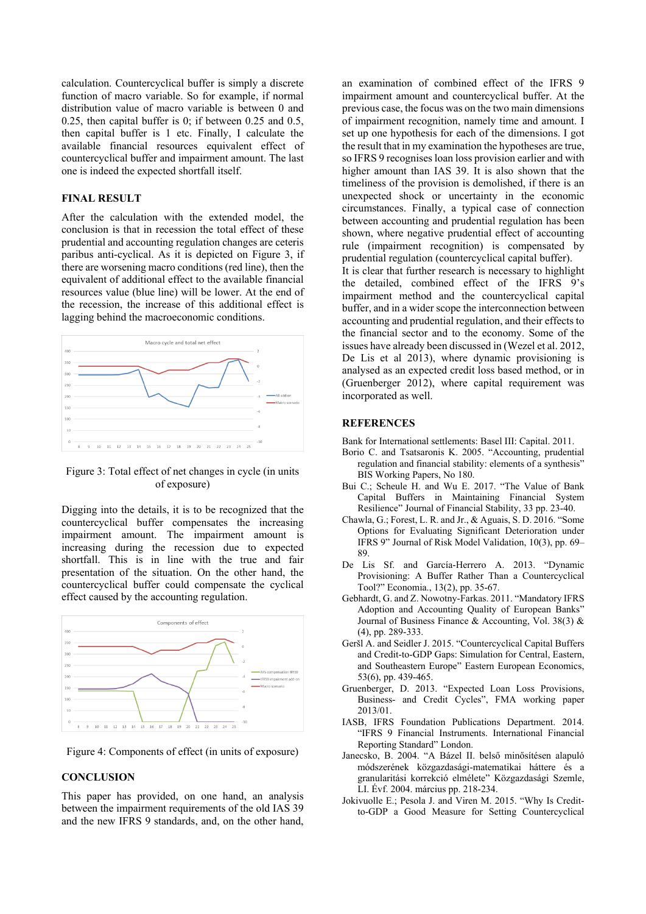calculation. Countercyclical buffer is simply a discrete function of macro variable. So for example, if normal distribution value of macro variable is between 0 and 0.25, then capital buffer is 0; if between 0.25 and 0.5, then capital buffer is 1 etc. Finally, I calculate the available financial resources equivalent effect of countercyclical buffer and impairment amount. The last one is indeed the expected shortfall itself.

# **FINAL RESULT**

After the calculation with the extended model, the conclusion is that in recession the total effect of these prudential and accounting regulation changes are ceteris paribus anti-cyclical. As it is depicted on Figure 3, if there are worsening macro conditions (red line), then the equivalent of additional effect to the available financial resources value (blue line) will be lower. At the end of the recession, the increase of this additional effect is lagging behind the macroeconomic conditions.



Figure 3: Total effect of net changes in cycle (in units of exposure)

Digging into the details, it is to be recognized that the countercyclical buffer compensates the increasing impairment amount. The impairment amount is increasing during the recession due to expected shortfall. This is in line with the true and fair presentation of the situation. On the other hand, the countercyclical buffer could compensate the cyclical effect caused by the accounting regulation.



Figure 4: Components of effect (in units of exposure)

# **CONCLUSION**

This paper has provided, on one hand, an analysis between the impairment requirements of the old IAS 39 and the new IFRS 9 standards, and, on the other hand,

an examination of combined effect of the IFRS 9 impairment amount and countercyclical buffer. At the previous case, the focus was on the two main dimensions of impairment recognition, namely time and amount. I set up one hypothesis for each of the dimensions. I got the result that in my examination the hypotheses are true, so IFRS 9 recognises loan loss provision earlier and with higher amount than IAS 39. It is also shown that the timeliness of the provision is demolished, if there is an unexpected shock or uncertainty in the economic circumstances. Finally, a typical case of connection between accounting and prudential regulation has been shown, where negative prudential effect of accounting rule (impairment recognition) is compensated by prudential regulation (countercyclical capital buffer).

It is clear that further research is necessary to highlight the detailed, combined effect of the IFRS 9's impairment method and the countercyclical capital buffer, and in a wider scope the interconnection between accounting and prudential regulation, and their effects to the financial sector and to the economy. Some of the issues have already been discussed in (Wezel et al. 2012, De Lis et al 2013), where dynamic provisioning is analysed as an expected credit loss based method, or in (Gruenberger 2012), where capital requirement was incorporated as well.

## **REFERENCES**

Bank for International settlements: [Basel III: Capital.](http://www.bis.org/publ/bcbs189.htm) 2011.

- Borio C. and Tsatsaronis K. 2005. "Accounting, prudential regulation and financial stability: elements of a synthesis" BIS Working Papers, No 180.
- Bui C.; Scheule H. and Wu E. 2017. "The Value of Bank Capital Buffers in Maintaining Financial System Resilience" Journal of Financial Stability, 33 pp. 23-40.
- Chawla, G.; Forest, L. R. and Jr., & Aguais, S. D. 2016. "Some Options for Evaluating Significant Deterioration under IFRS 9" Journal of Risk Model Validation, 10(3), pp. 69– 89.
- De Lis Sf. and García-Herrero A. 2013. "Dynamic Provisioning: A Buffer Rather Than a Countercyclical Tool?" Economia., 13(2), pp. 35-67.
- Gebhardt, G. and Z. Nowotny-Farkas. 2011. "Mandatory IFRS Adoption and Accounting Quality of European Banks" Journal of Business Finance & Accounting, Vol. 38(3) & (4), pp. 289-333.
- Geršl A. and Seidler J. 2015. "Countercyclical Capital Buffers and Credit-to-GDP Gaps: Simulation for Central, Eastern, and Southeastern Europe" Eastern European Economics, 53(6), pp. 439-465.
- Gruenberger, D. 2013. "Expected Loan Loss Provisions, Business- and Credit Cycles", FMA working paper 2013/01.
- IASB, IFRS Foundation Publications Department. 2014. "IFRS 9 Financial Instruments. International Financial Reporting Standard" London.
- Janecsko, B. 2004. "A Bázel II. belső minősítésen alapuló módszerének közgazdasági-matematikai háttere és a granularitási korrekció elmélete" Közgazdasági Szemle, LI. Évf. 2004. március pp. 218-234.
- Jokivuolle E.; Pesola J. and Viren M. 2015. "Why Is Creditto-GDP a Good Measure for Setting Countercyclical